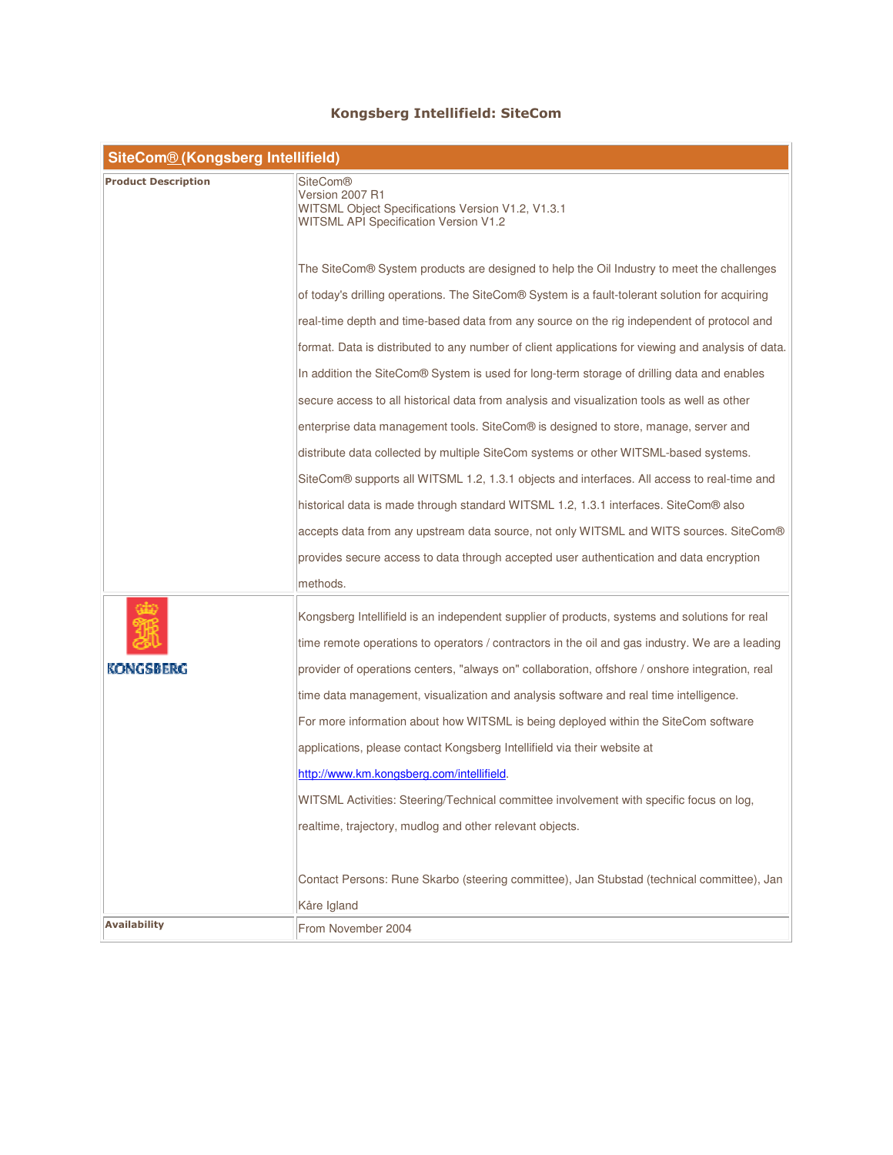## Kongsberg Intellifield: SiteCom

| <b>SiteCom® (Kongsberg Intellifield)</b> |                                                                                                                                                                                                  |  |
|------------------------------------------|--------------------------------------------------------------------------------------------------------------------------------------------------------------------------------------------------|--|
| <b>Product Description</b>               | <b>SiteCom®</b><br>Version 2007 R1<br>WITSML Object Specifications Version V1.2, V1.3.1<br><b>WITSML API Specification Version V1.2</b>                                                          |  |
|                                          | The SiteCom® System products are designed to help the Oil Industry to meet the challenges                                                                                                        |  |
|                                          | of today's drilling operations. The SiteCom® System is a fault-tolerant solution for acquiring                                                                                                   |  |
|                                          | real-time depth and time-based data from any source on the rig independent of protocol and                                                                                                       |  |
|                                          | format. Data is distributed to any number of client applications for viewing and analysis of data.                                                                                               |  |
|                                          | In addition the SiteCom® System is used for long-term storage of drilling data and enables                                                                                                       |  |
|                                          | secure access to all historical data from analysis and visualization tools as well as other                                                                                                      |  |
|                                          | enterprise data management tools. SiteCom® is designed to store, manage, server and                                                                                                              |  |
|                                          | distribute data collected by multiple SiteCom systems or other WITSML-based systems.                                                                                                             |  |
|                                          | SiteCom® supports all WITSML 1.2, 1.3.1 objects and interfaces. All access to real-time and                                                                                                      |  |
|                                          | historical data is made through standard WITSML 1.2, 1.3.1 interfaces. SiteCom® also                                                                                                             |  |
|                                          | accepts data from any upstream data source, not only WITSML and WITS sources. SiteCom®                                                                                                           |  |
|                                          | provides secure access to data through accepted user authentication and data encryption                                                                                                          |  |
|                                          | methods.                                                                                                                                                                                         |  |
|                                          | Kongsberg Intellifield is an independent supplier of products, systems and solutions for real<br>time remote operations to operators / contractors in the oil and gas industry. We are a leading |  |
| KONGSBERG                                | provider of operations centers, "always on" collaboration, offshore / onshore integration, real                                                                                                  |  |
|                                          | time data management, visualization and analysis software and real time intelligence.                                                                                                            |  |
|                                          | For more information about how WITSML is being deployed within the SiteCom software                                                                                                              |  |
|                                          | applications, please contact Kongsberg Intellifield via their website at                                                                                                                         |  |
|                                          | http://www.km.kongsberg.com/intellifield.                                                                                                                                                        |  |
|                                          | WITSML Activities: Steering/Technical committee involvement with specific focus on log,                                                                                                          |  |
|                                          | realtime, trajectory, mudlog and other relevant objects.                                                                                                                                         |  |
|                                          |                                                                                                                                                                                                  |  |
|                                          | Contact Persons: Rune Skarbo (steering committee), Jan Stubstad (technical committee), Jan                                                                                                       |  |
| <b>Availability</b>                      | Kåre Igland                                                                                                                                                                                      |  |
|                                          | From November 2004                                                                                                                                                                               |  |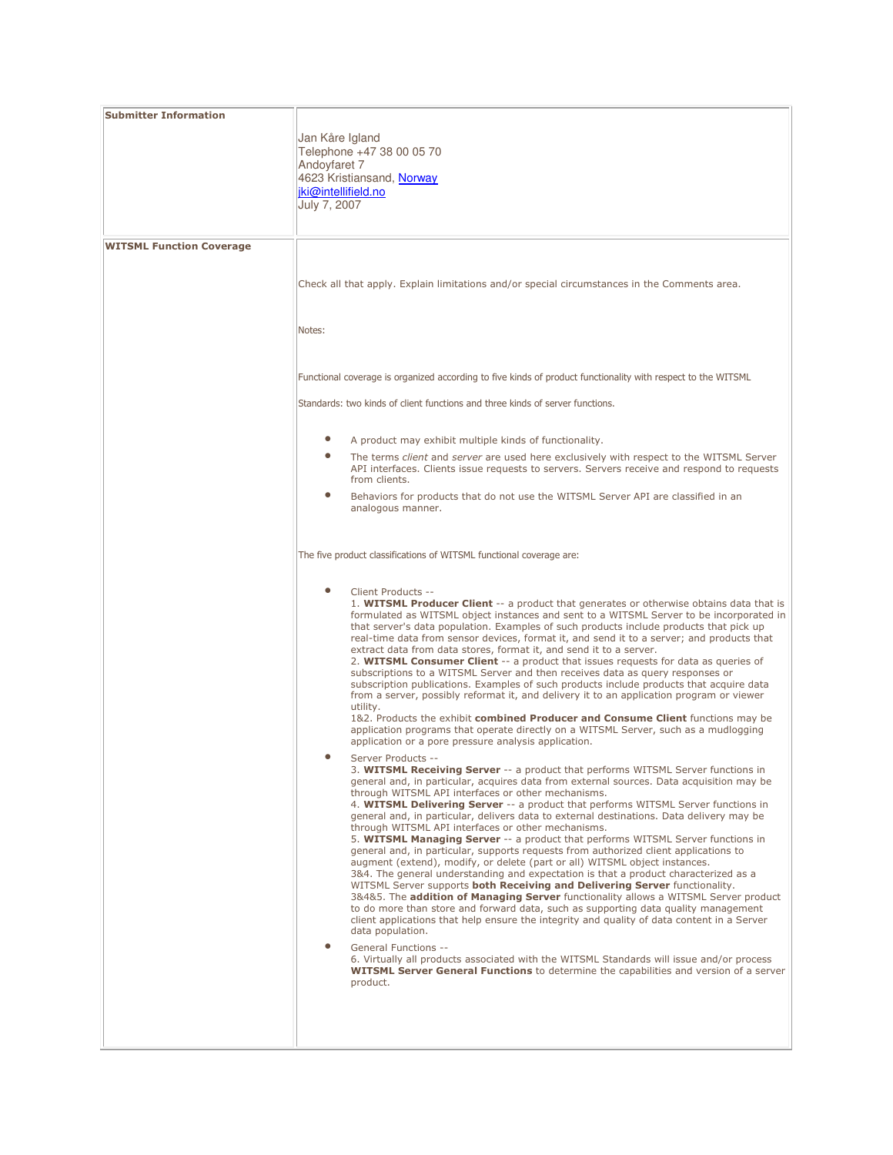| <b>Submitter Information</b>    |                                                                                                                                                                                                                                                                                                                                                                                                                                                                                                                                                                                                                                                                                                                                                                                                                                                                                                                                                                                                                                                                                                                                                                                                         |
|---------------------------------|---------------------------------------------------------------------------------------------------------------------------------------------------------------------------------------------------------------------------------------------------------------------------------------------------------------------------------------------------------------------------------------------------------------------------------------------------------------------------------------------------------------------------------------------------------------------------------------------------------------------------------------------------------------------------------------------------------------------------------------------------------------------------------------------------------------------------------------------------------------------------------------------------------------------------------------------------------------------------------------------------------------------------------------------------------------------------------------------------------------------------------------------------------------------------------------------------------|
|                                 | Jan Kåre Igland<br>Telephone +47 38 00 05 70<br>Andoyfaret 7<br>4623 Kristiansand, Norway<br>iki@intellifield.no<br>July 7, 2007                                                                                                                                                                                                                                                                                                                                                                                                                                                                                                                                                                                                                                                                                                                                                                                                                                                                                                                                                                                                                                                                        |
|                                 |                                                                                                                                                                                                                                                                                                                                                                                                                                                                                                                                                                                                                                                                                                                                                                                                                                                                                                                                                                                                                                                                                                                                                                                                         |
| <b>WITSML Function Coverage</b> |                                                                                                                                                                                                                                                                                                                                                                                                                                                                                                                                                                                                                                                                                                                                                                                                                                                                                                                                                                                                                                                                                                                                                                                                         |
|                                 | Check all that apply. Explain limitations and/or special circumstances in the Comments area.                                                                                                                                                                                                                                                                                                                                                                                                                                                                                                                                                                                                                                                                                                                                                                                                                                                                                                                                                                                                                                                                                                            |
|                                 | Notes:                                                                                                                                                                                                                                                                                                                                                                                                                                                                                                                                                                                                                                                                                                                                                                                                                                                                                                                                                                                                                                                                                                                                                                                                  |
|                                 | Functional coverage is organized according to five kinds of product functionality with respect to the WITSML                                                                                                                                                                                                                                                                                                                                                                                                                                                                                                                                                                                                                                                                                                                                                                                                                                                                                                                                                                                                                                                                                            |
|                                 | Standards: two kinds of client functions and three kinds of server functions.                                                                                                                                                                                                                                                                                                                                                                                                                                                                                                                                                                                                                                                                                                                                                                                                                                                                                                                                                                                                                                                                                                                           |
|                                 | A product may exhibit multiple kinds of functionality.                                                                                                                                                                                                                                                                                                                                                                                                                                                                                                                                                                                                                                                                                                                                                                                                                                                                                                                                                                                                                                                                                                                                                  |
|                                 | The terms client and server are used here exclusively with respect to the WITSML Server<br>API interfaces. Clients issue requests to servers. Servers receive and respond to requests<br>from clients.                                                                                                                                                                                                                                                                                                                                                                                                                                                                                                                                                                                                                                                                                                                                                                                                                                                                                                                                                                                                  |
|                                 | $\bullet$<br>Behaviors for products that do not use the WITSML Server API are classified in an<br>analogous manner.                                                                                                                                                                                                                                                                                                                                                                                                                                                                                                                                                                                                                                                                                                                                                                                                                                                                                                                                                                                                                                                                                     |
|                                 | The five product classifications of WITSML functional coverage are:                                                                                                                                                                                                                                                                                                                                                                                                                                                                                                                                                                                                                                                                                                                                                                                                                                                                                                                                                                                                                                                                                                                                     |
|                                 | Client Products --<br>1. WITSML Producer Client -- a product that generates or otherwise obtains data that is<br>formulated as WITSML object instances and sent to a WITSML Server to be incorporated in<br>that server's data population. Examples of such products include products that pick up<br>real-time data from sensor devices, format it, and send it to a server; and products that<br>extract data from data stores, format it, and send it to a server.<br>2. WITSML Consumer Client -- a product that issues requests for data as queries of<br>subscriptions to a WITSML Server and then receives data as query responses or<br>subscription publications. Examples of such products include products that acquire data<br>from a server, possibly reformat it, and delivery it to an application program or viewer<br>utility.                                                                                                                                                                                                                                                                                                                                                         |
|                                 | 1&2. Products the exhibit combined Producer and Consume Client functions may be<br>application programs that operate directly on a WITSML Server, such as a mudlogging<br>application or a pore pressure analysis application.                                                                                                                                                                                                                                                                                                                                                                                                                                                                                                                                                                                                                                                                                                                                                                                                                                                                                                                                                                          |
|                                 | Server Products -<br>3. WITSML Receiving Server -- a product that performs WITSML Server functions in<br>general and, in particular, acquires data from external sources. Data acquisition may be<br>through WITSML API interfaces or other mechanisms.<br>4. WITSML Delivering Server -- a product that performs WITSML Server functions in<br>general and, in particular, delivers data to external destinations. Data delivery may be<br>through WITSML API interfaces or other mechanisms.<br>5. WITSML Managing Server -- a product that performs WITSML Server functions in<br>general and, in particular, supports requests from authorized client applications to<br>augment (extend), modify, or delete (part or all) WITSML object instances.<br>3&4. The general understanding and expectation is that a product characterized as a<br>WITSML Server supports both Receiving and Delivering Server functionality.<br>3&4&5. The addition of Managing Server functionality allows a WITSML Server product<br>to do more than store and forward data, such as supporting data quality management<br>client applications that help ensure the integrity and quality of data content in a Server |
|                                 | data population.<br>$\bullet$<br>General Functions --<br>6. Virtually all products associated with the WITSML Standards will issue and/or process<br><b>WITSML Server General Functions</b> to determine the capabilities and version of a server<br>product.                                                                                                                                                                                                                                                                                                                                                                                                                                                                                                                                                                                                                                                                                                                                                                                                                                                                                                                                           |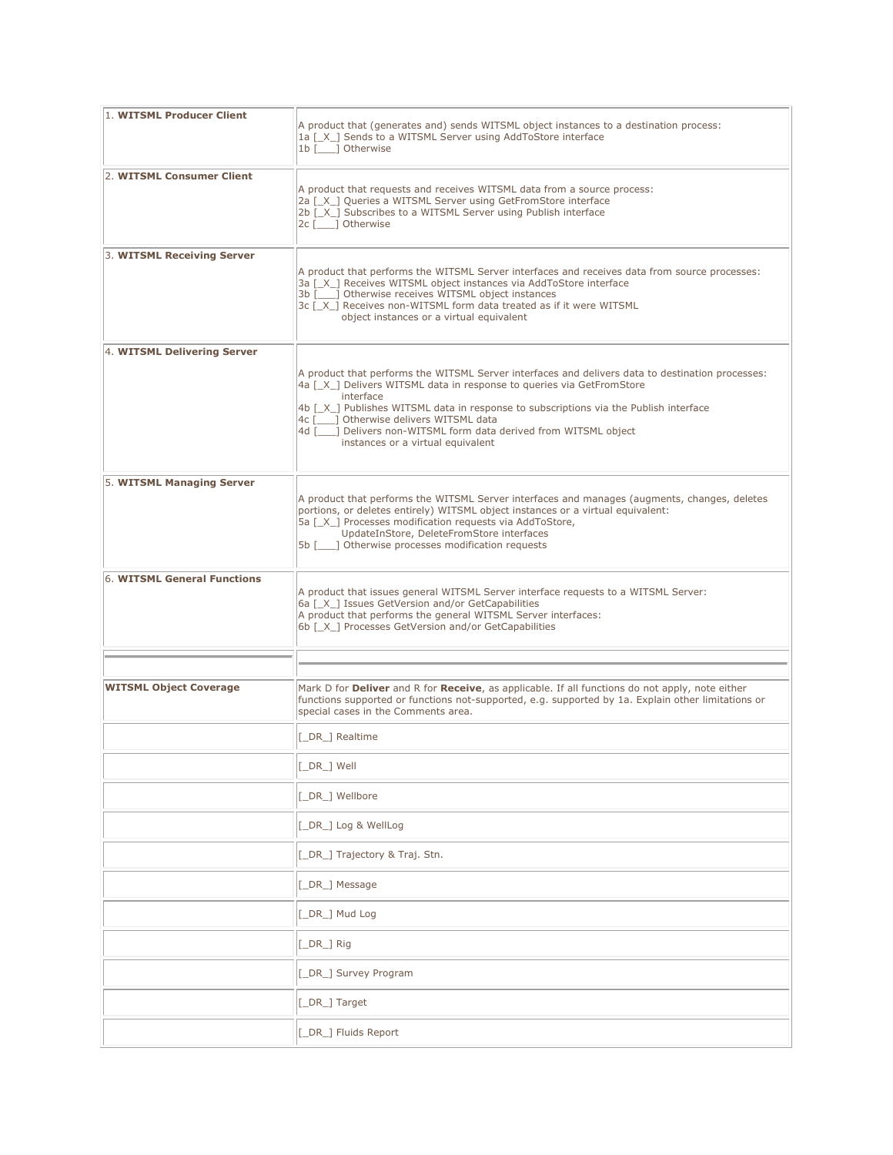| 1. WITSML Producer Client     | A product that (generates and) sends WITSML object instances to a destination process:<br>1a [X ] Sends to a WITSML Server using AddToStore interface<br>1b [____] Otherwise                                                                                                                                                                                                                                                   |
|-------------------------------|--------------------------------------------------------------------------------------------------------------------------------------------------------------------------------------------------------------------------------------------------------------------------------------------------------------------------------------------------------------------------------------------------------------------------------|
| 2. WITSML Consumer Client     | A product that requests and receives WITSML data from a source process:<br>2a [X ] Queries a WITSML Server using GetFromStore interface<br>2b [X ] Subscribes to a WITSML Server using Publish interface<br>2c [___] Otherwise                                                                                                                                                                                                 |
| 3. WITSML Receiving Server    | A product that performs the WITSML Server interfaces and receives data from source processes:<br>3a [ X ] Receives WITSML object instances via AddToStore interface<br>3b [ ] Otherwise receives WITSML object instances<br>3c [_X_] Receives non-WITSML form data treated as if it were WITSML<br>object instances or a virtual equivalent                                                                                    |
| 4. WITSML Delivering Server   | A product that performs the WITSML Server interfaces and delivers data to destination processes:<br>4a [X ] Delivers WITSML data in response to queries via GetFromStore<br>interface<br>4b [X ] Publishes WITSML data in response to subscriptions via the Publish interface<br>4c [ ] Otherwise delivers WITSML data<br>4d [ ] Delivers non-WITSML form data derived from WITSML object<br>instances or a virtual equivalent |
| 5. WITSML Managing Server     | A product that performs the WITSML Server interfaces and manages (augments, changes, deletes<br>portions, or deletes entirely) WITSML object instances or a virtual equivalent:<br>5a [X ] Processes modification requests via AddToStore,<br>UpdateInStore, DeleteFromStore interfaces<br>5b [       Otherwise processes modification requests                                                                                |
| 6. WITSML General Functions   | A product that issues general WITSML Server interface requests to a WITSML Server:<br>6a [ X ] Issues GetVersion and/or GetCapabilities<br>A product that performs the general WITSML Server interfaces:<br>6b [X ] Processes GetVersion and/or GetCapabilities                                                                                                                                                                |
| <b>WITSML Object Coverage</b> | Mark D for <b>Deliver</b> and R for Receive, as applicable. If all functions do not apply, note either<br>functions supported or functions not-supported, e.g. supported by 1a. Explain other limitations or<br>special cases in the Comments area.                                                                                                                                                                            |
|                               | [_DR_] Realtime                                                                                                                                                                                                                                                                                                                                                                                                                |
|                               | [_DR_] Well                                                                                                                                                                                                                                                                                                                                                                                                                    |
|                               | [_DR_] Wellbore                                                                                                                                                                                                                                                                                                                                                                                                                |
|                               | [_DR_] Log & WellLog                                                                                                                                                                                                                                                                                                                                                                                                           |
|                               | [DR_] Trajectory & Traj. Stn.                                                                                                                                                                                                                                                                                                                                                                                                  |
|                               | [_DR_] Message                                                                                                                                                                                                                                                                                                                                                                                                                 |
|                               | [_DR_] Mud Log                                                                                                                                                                                                                                                                                                                                                                                                                 |
|                               | [_DR_] Rig                                                                                                                                                                                                                                                                                                                                                                                                                     |
|                               | [_DR_] Survey Program                                                                                                                                                                                                                                                                                                                                                                                                          |
|                               | [_DR_] Target                                                                                                                                                                                                                                                                                                                                                                                                                  |
|                               | [_DR_] Fluids Report                                                                                                                                                                                                                                                                                                                                                                                                           |